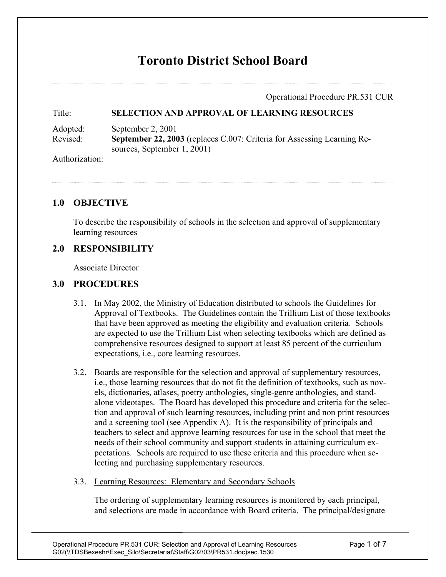# **Toronto District School Board**

Operational Procedure PR.531 CUR

#### Title: **SELECTION AND APPROVAL OF LEARNING RESOURCES**

Adopted: September 2, 2001 Revised: **September 22, 2003** (replaces C.007: Criteria for Assessing Learning Resources, September 1, 2001)

Authorization:

#### **1.0 OBJECTIVE**

To describe the responsibility of schools in the selection and approval of supplementary learning resources

#### **2.0 RESPONSIBILITY**

Associate Director

#### **3.0 PROCEDURES**

- 3.1. In May 2002, the Ministry of Education distributed to schools the Guidelines for Approval of Textbooks. The Guidelines contain the Trillium List of those textbooks that have been approved as meeting the eligibility and evaluation criteria. Schools are expected to use the Trillium List when selecting textbooks which are defined as comprehensive resources designed to support at least 85 percent of the curriculum expectations, i.e., core learning resources.
- 3.2. Boards are responsible for the selection and approval of supplementary resources, i.e., those learning resources that do not fit the definition of textbooks, such as novels, dictionaries, atlases, poetry anthologies, single-genre anthologies, and standalone videotapes. The Board has developed this procedure and criteria for the selection and approval of such learning resources, including print and non print resources and a screening tool (see Appendix A). It is the responsibility of principals and teachers to select and approve learning resources for use in the school that meet the needs of their school community and support students in attaining curriculum expectations. Schools are required to use these criteria and this procedure when selecting and purchasing supplementary resources.
- 3.3. Learning Resources: Elementary and Secondary Schools

The ordering of supplementary learning resources is monitored by each principal, and selections are made in accordance with Board criteria. The principal/designate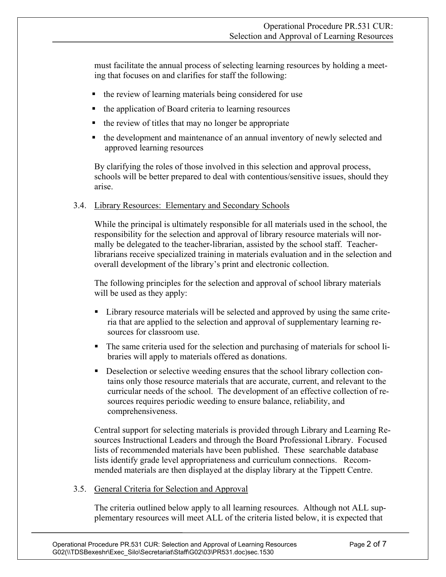must facilitate the annual process of selecting learning resources by holding a meeting that focuses on and clarifies for staff the following:

- the review of learning materials being considered for use
- the application of Board criteria to learning resources
- $\blacksquare$  the review of titles that may no longer be appropriate
- the development and maintenance of an annual inventory of newly selected and approved learning resources

By clarifying the roles of those involved in this selection and approval process, schools will be better prepared to deal with contentious/sensitive issues, should they arise.

#### 3.4. Library Resources: Elementary and Secondary Schools

While the principal is ultimately responsible for all materials used in the school, the responsibility for the selection and approval of library resource materials will normally be delegated to the teacher-librarian, assisted by the school staff. Teacherlibrarians receive specialized training in materials evaluation and in the selection and overall development of the library's print and electronic collection.

The following principles for the selection and approval of school library materials will be used as they apply:

- **EXECUTE:** Library resource materials will be selected and approved by using the same criteria that are applied to the selection and approval of supplementary learning resources for classroom use.
- The same criteria used for the selection and purchasing of materials for school libraries will apply to materials offered as donations.
- Deselection or selective weeding ensures that the school library collection contains only those resource materials that are accurate, current, and relevant to the curricular needs of the school. The development of an effective collection of resources requires periodic weeding to ensure balance, reliability, and comprehensiveness.

Central support for selecting materials is provided through Library and Learning Resources Instructional Leaders and through the Board Professional Library. Focused lists of recommended materials have been published. These searchable database lists identify grade level appropriateness and curriculum connections. Recommended materials are then displayed at the display library at the Tippett Centre.

3.5. General Criteria for Selection and Approval

The criteria outlined below apply to all learning resources. Although not ALL supplementary resources will meet ALL of the criteria listed below, it is expected that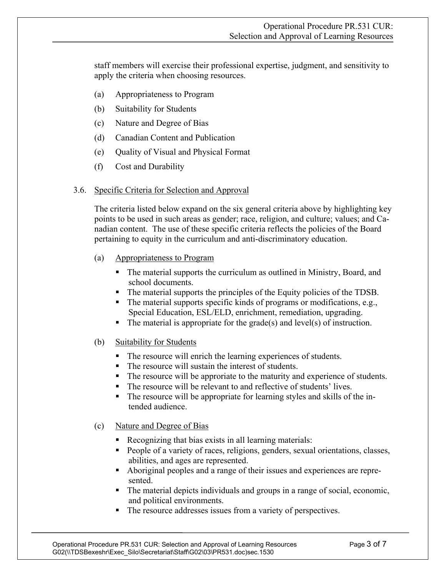staff members will exercise their professional expertise, judgment, and sensitivity to apply the criteria when choosing resources.

- (a) Appropriateness to Program
- (b) Suitability for Students
- (c) Nature and Degree of Bias
- (d) Canadian Content and Publication
- (e) Quality of Visual and Physical Format
- (f) Cost and Durability

#### 3.6. Specific Criteria for Selection and Approval

The criteria listed below expand on the six general criteria above by highlighting key points to be used in such areas as gender; race, religion, and culture; values; and Canadian content. The use of these specific criteria reflects the policies of the Board pertaining to equity in the curriculum and anti-discriminatory education.

- (a) Appropriateness to Program
	- The material supports the curriculum as outlined in Ministry, Board, and school documents.
	- The material supports the principles of the Equity policies of the TDSB.
	- $\blacksquare$  The material supports specific kinds of programs or modifications, e.g., Special Education, ESL/ELD, enrichment, remediation, upgrading.
	- $\blacksquare$  The material is appropriate for the grade(s) and level(s) of instruction.
- (b) Suitability for Students
	- The resource will enrich the learning experiences of students.
	- The resource will sustain the interest of students.
	- The resource will be approriate to the maturity and experience of students.
	- The resource will be relevant to and reflective of students' lives.
	- The resource will be appropriate for learning styles and skills of the intended audience.

#### (c) Nature and Degree of Bias

- Recognizing that bias exists in all learning materials:
- People of a variety of races, religions, genders, sexual orientations, classes, abilities, and ages are represented.
- Aboriginal peoples and a range of their issues and experiences are represented.
- The material depicts individuals and groups in a range of social, economic, and political environments.
- The resource addresses issues from a variety of perspectives.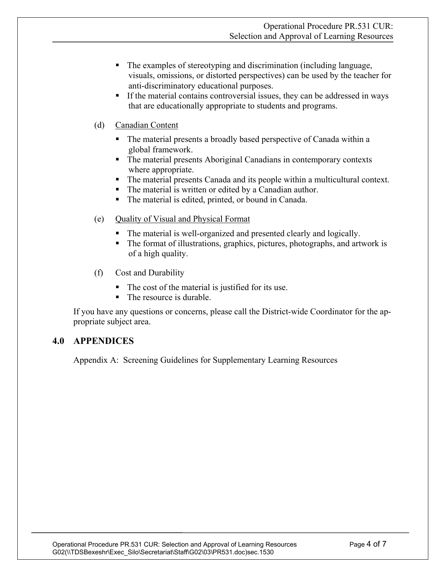- The examples of stereotyping and discrimination (including language, visuals, omissions, or distorted perspectives) can be used by the teacher for anti-discriminatory educational purposes.
- If the material contains controversial issues, they can be addressed in ways that are educationally appropriate to students and programs.
- (d) Canadian Content
	- The material presents a broadly based perspective of Canada within a global framework.
	- The material presents Aboriginal Canadians in contemporary contexts where appropriate.
	- The material presents Canada and its people within a multicultural context.
	- The material is written or edited by a Canadian author.
	- The material is edited, printed, or bound in Canada.
- (e) Quality of Visual and Physical Format
	- The material is well-organized and presented clearly and logically.
	- The format of illustrations, graphics, pictures, photographs, and artwork is of a high quality.
- (f) Cost and Durability
	- The cost of the material is justified for its use.
	- The resource is durable.

If you have any questions or concerns, please call the District-wide Coordinator for the appropriate subject area.

### **4.0 APPENDICES**

Appendix A: Screening Guidelines for Supplementary Learning Resources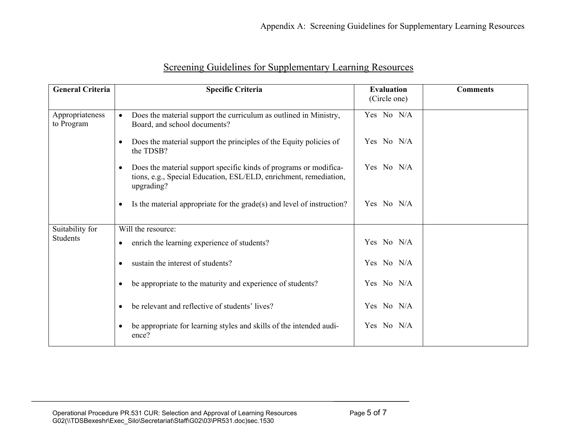| <b>General Criteria</b>            | <b>Specific Criteria</b>                                                                                                                                          | <b>Evaluation</b><br>(Circle one) | <b>Comments</b> |
|------------------------------------|-------------------------------------------------------------------------------------------------------------------------------------------------------------------|-----------------------------------|-----------------|
| Appropriateness<br>to Program      | Does the material support the curriculum as outlined in Ministry,<br>$\bullet$<br>Board, and school documents?                                                    | Yes No N/A                        |                 |
|                                    | Does the material support the principles of the Equity policies of<br>$\bullet$<br>the TDSB?                                                                      | Yes No N/A                        |                 |
|                                    | Does the material support specific kinds of programs or modifica-<br>$\bullet$<br>tions, e.g., Special Education, ESL/ELD, enrichment, remediation,<br>upgrading? | Yes No N/A                        |                 |
|                                    | Is the material appropriate for the $grade(s)$ and level of instruction?<br>$\bullet$                                                                             | Yes No N/A                        |                 |
| Suitability for<br><b>Students</b> | Will the resource:                                                                                                                                                |                                   |                 |
|                                    | enrich the learning experience of students?<br>$\bullet$                                                                                                          | Yes No N/A                        |                 |
|                                    | sustain the interest of students?<br>$\bullet$                                                                                                                    | Yes No N/A                        |                 |
|                                    | be appropriate to the maturity and experience of students?                                                                                                        | Yes No N/A                        |                 |
|                                    | be relevant and reflective of students' lives?<br>$\bullet$                                                                                                       | Yes No N/A                        |                 |
|                                    | be appropriate for learning styles and skills of the intended audi-<br>ence?                                                                                      | Yes No N/A                        |                 |

## Screening Guidelines for Supplementary Learning Resources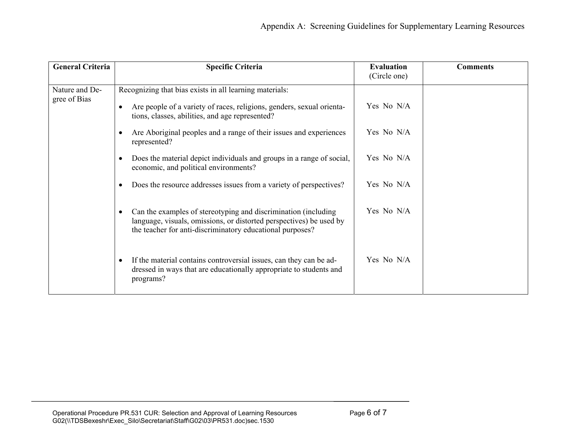| <b>General Criteria</b>        | <b>Specific Criteria</b>                                                                                                                                                                                        | <b>Evaluation</b><br>(Circle one) | <b>Comments</b> |
|--------------------------------|-----------------------------------------------------------------------------------------------------------------------------------------------------------------------------------------------------------------|-----------------------------------|-----------------|
| Nature and De-<br>gree of Bias | Recognizing that bias exists in all learning materials:<br>Are people of a variety of races, religions, genders, sexual orienta-<br>$\bullet$                                                                   | Yes No N/A                        |                 |
|                                | tions, classes, abilities, and age represented?                                                                                                                                                                 |                                   |                 |
|                                | Are Aboriginal peoples and a range of their issues and experiences<br>$\bullet$<br>represented?                                                                                                                 | Yes No N/A                        |                 |
|                                | Does the material depict individuals and groups in a range of social,<br>$\bullet$<br>economic, and political environments?                                                                                     | Yes No N/A                        |                 |
|                                | Does the resource addresses issues from a variety of perspectives?<br>٠                                                                                                                                         | Yes No N/A                        |                 |
|                                | Can the examples of stereotyping and discrimination (including<br>$\bullet$<br>language, visuals, omissions, or distorted perspectives) be used by<br>the teacher for anti-discriminatory educational purposes? | Yes No N/A                        |                 |
|                                | If the material contains controversial issues, can they can be ad-<br>$\bullet$<br>dressed in ways that are educationally appropriate to students and<br>programs?                                              | Yes No N/A                        |                 |